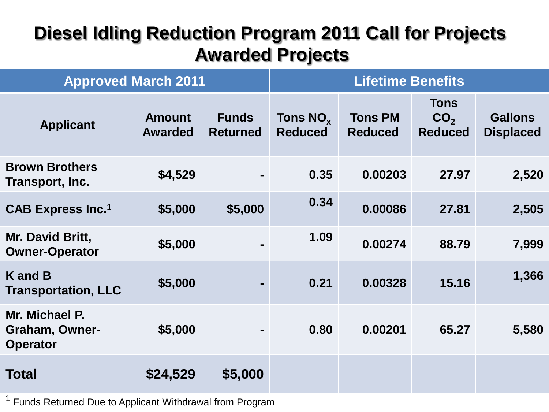| <b>Approved March 2011</b>                                 |                                 |                                 | <b>Lifetime Benefits</b>        |                                  |                                                  |                                    |
|------------------------------------------------------------|---------------------------------|---------------------------------|---------------------------------|----------------------------------|--------------------------------------------------|------------------------------------|
| <b>Applicant</b>                                           | <b>Amount</b><br><b>Awarded</b> | <b>Funds</b><br><b>Returned</b> | Tons $NO_{x}$<br><b>Reduced</b> | <b>Tons PM</b><br><b>Reduced</b> | <b>Tons</b><br>CO <sub>2</sub><br><b>Reduced</b> | <b>Gallons</b><br><b>Displaced</b> |
| <b>Brown Brothers</b><br>Transport, Inc.                   | \$4,529                         |                                 | 0.35                            | 0.00203                          | 27.97                                            | 2,520                              |
| <b>CAB Express Inc.<sup>1</sup></b>                        | \$5,000                         | \$5,000                         | 0.34                            | 0.00086                          | 27.81                                            | 2,505                              |
| Mr. David Britt,<br><b>Owner-Operator</b>                  | \$5,000                         |                                 | 1.09                            | 0.00274                          | 88.79                                            | 7,999                              |
| K and B<br><b>Transportation, LLC</b>                      | \$5,000                         |                                 | 0.21                            | 0.00328                          | 15.16                                            | 1,366                              |
| Mr. Michael P.<br><b>Graham, Owner-</b><br><b>Operator</b> | \$5,000                         |                                 | 0.80                            | 0.00201                          | 65.27                                            | 5,580                              |
| <b>Total</b>                                               | \$24,529                        | \$5,000                         |                                 |                                  |                                                  |                                    |

<sup>1</sup> Funds Returned Due to Applicant Withdrawal from Program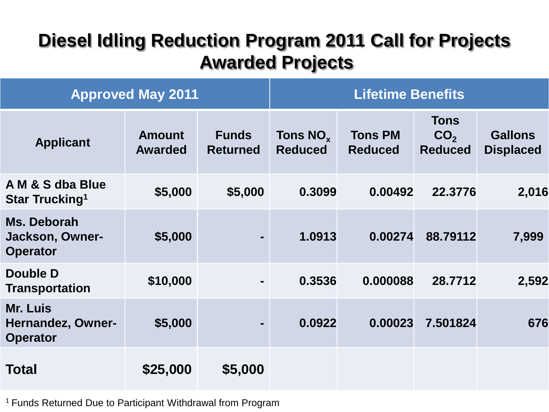| <b>Approved May 2011</b>                              |                                 |                                 | <b>Lifetime Benefits</b>        |                                  |                                                  |                                    |
|-------------------------------------------------------|---------------------------------|---------------------------------|---------------------------------|----------------------------------|--------------------------------------------------|------------------------------------|
| <b>Applicant</b>                                      | <b>Amount</b><br><b>Awarded</b> | <b>Funds</b><br><b>Returned</b> | Tons $NO_{x}$<br><b>Reduced</b> | <b>Tons PM</b><br><b>Reduced</b> | <b>Tons</b><br>CO <sub>2</sub><br><b>Reduced</b> | <b>Gallons</b><br><b>Displaced</b> |
| A M & S dba Blue<br><b>Star Trucking</b> <sup>1</sup> | \$5,000                         | \$5,000                         | 0.3099                          | 0.00492                          | 22,3776                                          | 2,016                              |
| Ms. Deborah<br>Jackson, Owner-<br><b>Operator</b>     | \$5,000                         |                                 | 1.0913                          | 0.00274                          | 88.79112                                         | 7,999                              |
| Double D<br><b>Transportation</b>                     | \$10,000                        |                                 | 0.3536                          | 0.000088                         | 28.7712                                          | 2,592                              |
| Mr. Luis<br>Hernandez, Owner-<br><b>Operator</b>      | \$5,000                         |                                 | 0.0922                          | 0.00023                          | 7.501824                                         | 676                                |
| <b>Total</b>                                          | \$25,000                        | \$5,000                         |                                 |                                  |                                                  |                                    |

<sup>1</sup> Funds Returned Due to Participant Withdrawal from Program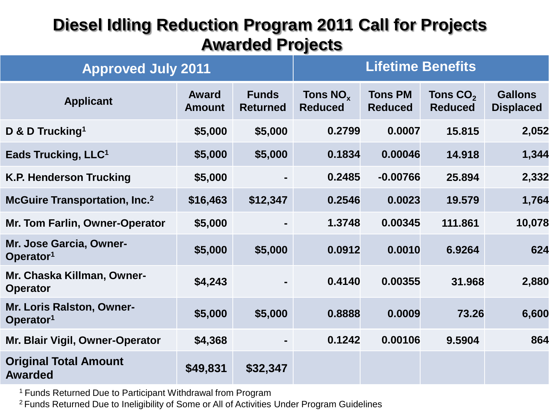| <b>Approved July 2011</b>                          | <b>Lifetime Benefits</b> |                                 |                                        |                                  |                                        |                                    |
|----------------------------------------------------|--------------------------|---------------------------------|----------------------------------------|----------------------------------|----------------------------------------|------------------------------------|
| <b>Applicant</b>                                   | Award<br><b>Amount</b>   | <b>Funds</b><br><b>Returned</b> | Tons NO <sub>x</sub><br><b>Reduced</b> | <b>Tons PM</b><br><b>Reduced</b> | Tons CO <sub>2</sub><br><b>Reduced</b> | <b>Gallons</b><br><b>Displaced</b> |
| D & D Trucking <sup>1</sup>                        | \$5,000                  | \$5,000                         | 0.2799                                 | 0.0007                           | 15.815                                 | 2,052                              |
| Eads Trucking, LLC <sup>1</sup>                    | \$5,000                  | \$5,000                         | 0.1834                                 | 0.00046                          | 14.918                                 | 1,344                              |
| <b>K.P. Henderson Trucking</b>                     | \$5,000                  |                                 | 0.2485                                 | $-0.00766$                       | 25.894                                 | 2,332                              |
| <b>McGuire Transportation, Inc.</b> 2              | \$16,463                 | \$12,347                        | 0.2546                                 | 0.0023                           | 19.579                                 | 1,764                              |
| <b>Mr. Tom Farlin, Owner-Operator</b>              | \$5,000                  |                                 | 1.3748                                 | 0.00345                          | 111.861                                | 10,078                             |
| Mr. Jose Garcia, Owner-<br>Operator <sup>1</sup>   | \$5,000                  | \$5,000                         | 0.0912                                 | 0.0010                           | 6.9264                                 | 624                                |
| Mr. Chaska Killman, Owner-<br><b>Operator</b>      | \$4,243                  |                                 | 0.4140                                 | 0.00355                          | 31.968                                 | 2,880                              |
| Mr. Loris Ralston, Owner-<br>Operator <sup>1</sup> | \$5,000                  | \$5,000                         | 0.8888                                 | 0.0009                           | 73.26                                  | 6,600                              |
| Mr. Blair Vigil, Owner-Operator                    | \$4,368                  |                                 | 0.1242                                 | 0.00106                          | 9.5904                                 | 864                                |
| <b>Original Total Amount</b><br><b>Awarded</b>     | \$49,831                 | \$32,347                        |                                        |                                  |                                        |                                    |

<sup>1</sup> Funds Returned Due to Participant Withdrawal from Program

2 Funds Returned Due to Ineligibility of Some or All of Activities Under Program Guidelines